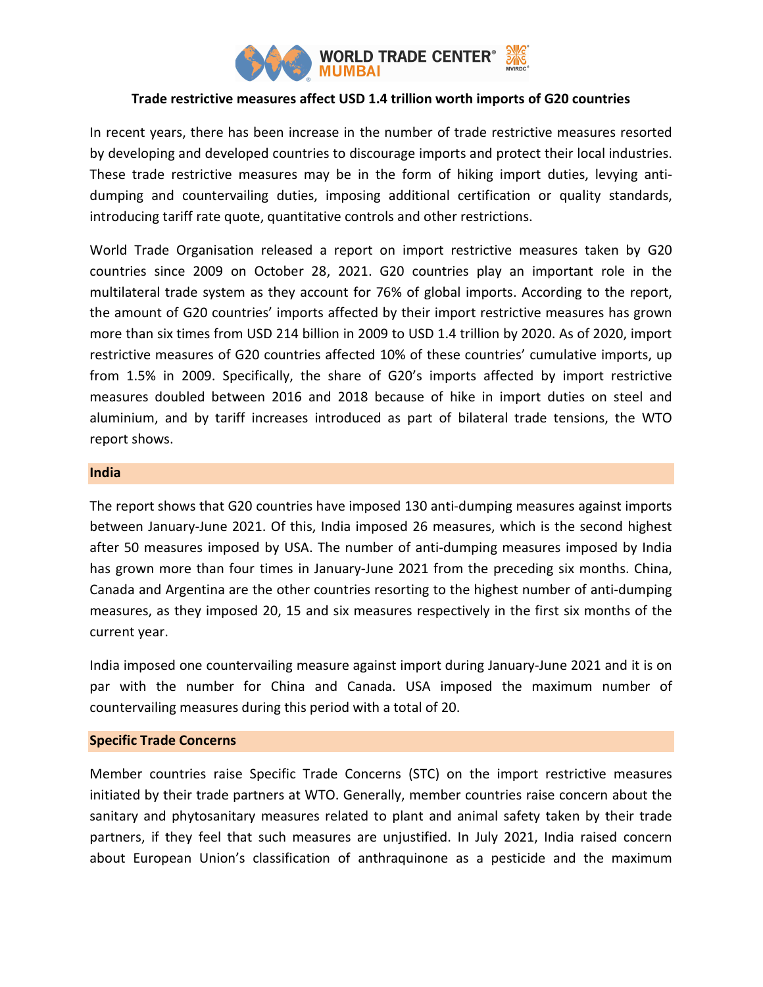

# Trade restrictive measures affect USD 1.4 trillion worth imports of G20 countries

In recent years, there has been increase in the number of trade restrictive measures resorted by developing and developed countries to discourage imports and protect their local industries. These trade restrictive measures may be in the form of hiking import duties, levying antidumping and countervailing duties, imposing additional certification or quality standards, introducing tariff rate quote, quantitative controls and other restrictions.

World Trade Organisation released a report on import restrictive measures taken by G20 countries since 2009 on October 28, 2021. G20 countries play an important role in the multilateral trade system as they account for 76% of global imports. According to the report, the amount of G20 countries' imports affected by their import restrictive measures has grown more than six times from USD 214 billion in 2009 to USD 1.4 trillion by 2020. As of 2020, import restrictive measures of G20 countries affected 10% of these countries' cumulative imports, up from 1.5% in 2009. Specifically, the share of G20's imports affected by import restrictive measures doubled between 2016 and 2018 because of hike in import duties on steel and aluminium, and by tariff increases introduced as part of bilateral trade tensions, the WTO report shows.

## India

The report shows that G20 countries have imposed 130 anti-dumping measures against imports between January-June 2021. Of this, India imposed 26 measures, which is the second highest after 50 measures imposed by USA. The number of anti-dumping measures imposed by India has grown more than four times in January-June 2021 from the preceding six months. China, Canada and Argentina are the other countries resorting to the highest number of anti-dumping measures, as they imposed 20, 15 and six measures respectively in the first six months of the current year.

India imposed one countervailing measure against import during January-June 2021 and it is on par with the number for China and Canada. USA imposed the maximum number of countervailing measures during this period with a total of 20.

# Specific Trade Concerns

Member countries raise Specific Trade Concerns (STC) on the import restrictive measures initiated by their trade partners at WTO. Generally, member countries raise concern about the sanitary and phytosanitary measures related to plant and animal safety taken by their trade partners, if they feel that such measures are unjustified. In July 2021, India raised concern about European Union's classification of anthraquinone as a pesticide and the maximum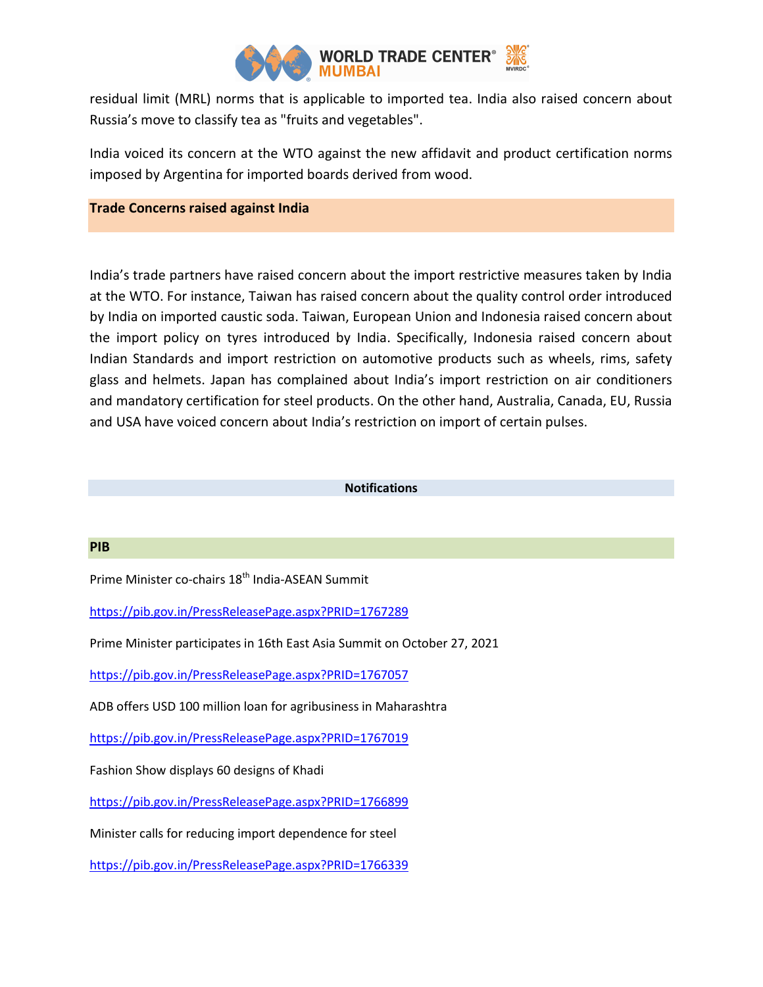

residual limit (MRL) norms that is applicable to imported tea. India also raised concern about Russia's move to classify tea as "fruits and vegetables".

India voiced its concern at the WTO against the new affidavit and product certification norms imposed by Argentina for imported boards derived from wood.

## Trade Concerns raised against India

India's trade partners have raised concern about the import restrictive measures taken by India at the WTO. For instance, Taiwan has raised concern about the quality control order introduced by India on imported caustic soda. Taiwan, European Union and Indonesia raised concern about the import policy on tyres introduced by India. Specifically, Indonesia raised concern about Indian Standards and import restriction on automotive products such as wheels, rims, safety glass and helmets. Japan has complained about India's import restriction on air conditioners and mandatory certification for steel products. On the other hand, Australia, Canada, EU, Russia and USA have voiced concern about India's restriction on import of certain pulses.

#### Notifications

#### PIB

Prime Minister co-chairs 18<sup>th</sup> India-ASEAN Summit

https://pib.gov.in/PressReleasePage.aspx?PRID=1767289

Prime Minister participates in 16th East Asia Summit on October 27, 2021

https://pib.gov.in/PressReleasePage.aspx?PRID=1767057

ADB offers USD 100 million loan for agribusiness in Maharashtra

https://pib.gov.in/PressReleasePage.aspx?PRID=1767019

Fashion Show displays 60 designs of Khadi

https://pib.gov.in/PressReleasePage.aspx?PRID=1766899

Minister calls for reducing import dependence for steel

https://pib.gov.in/PressReleasePage.aspx?PRID=1766339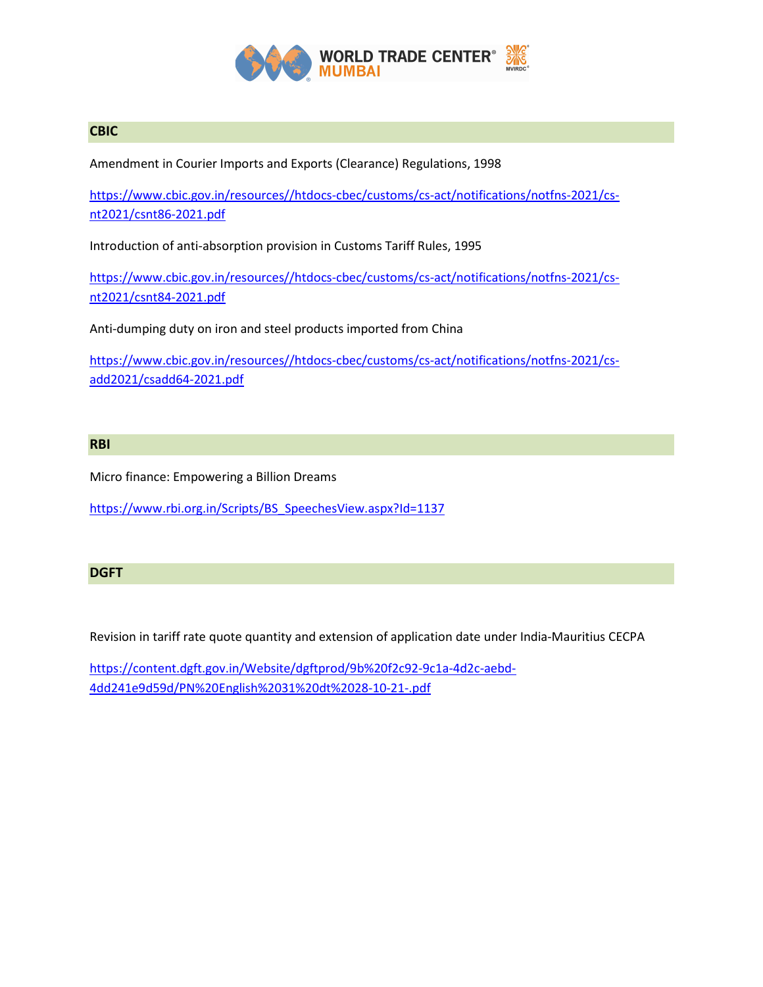

# **CBIC**

Amendment in Courier Imports and Exports (Clearance) Regulations, 1998

https://www.cbic.gov.in/resources//htdocs-cbec/customs/cs-act/notifications/notfns-2021/csnt2021/csnt86-2021.pdf

Introduction of anti-absorption provision in Customs Tariff Rules, 1995

https://www.cbic.gov.in/resources//htdocs-cbec/customs/cs-act/notifications/notfns-2021/csnt2021/csnt84-2021.pdf

Anti-dumping duty on iron and steel products imported from China

https://www.cbic.gov.in/resources//htdocs-cbec/customs/cs-act/notifications/notfns-2021/csadd2021/csadd64-2021.pdf

## RBI

Micro finance: Empowering a Billion Dreams

https://www.rbi.org.in/Scripts/BS\_SpeechesView.aspx?Id=1137

## DGFT

Revision in tariff rate quote quantity and extension of application date under India-Mauritius CECPA

https://content.dgft.gov.in/Website/dgftprod/9b%20f2c92-9c1a-4d2c-aebd-4dd241e9d59d/PN%20English%2031%20dt%2028-10-21-.pdf